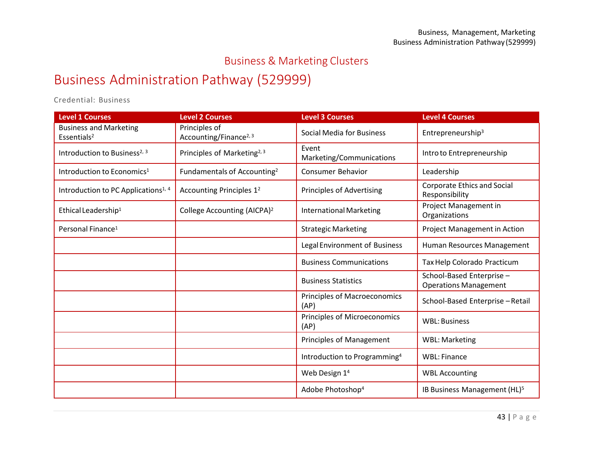## Business & Marketing Clusters

## Business Administration Pathway (529999)

Credential: Business

| <b>Level 1 Courses</b>                                   | <b>Level 2 Courses</b>                              | <b>Level 3 Courses</b>                   | <b>Level 4 Courses</b>                                   |
|----------------------------------------------------------|-----------------------------------------------------|------------------------------------------|----------------------------------------------------------|
| <b>Business and Marketing</b><br>Essentials <sup>2</sup> | Principles of<br>Accounting/Finance <sup>2, 3</sup> | <b>Social Media for Business</b>         | Entrepreneurship <sup>3</sup>                            |
| Introduction to Business <sup>2, 3</sup>                 | Principles of Marketing <sup>2, 3</sup>             | Event<br>Marketing/Communications        | Intro to Entrepreneurship                                |
| Introduction to Economics <sup>1</sup>                   | Fundamentals of Accounting <sup>2</sup>             | <b>Consumer Behavior</b>                 | Leadership                                               |
| Introduction to PC Applications <sup>1, 4</sup>          | Accounting Principles 1 <sup>2</sup>                | <b>Principles of Advertising</b>         | <b>Corporate Ethics and Social</b><br>Responsibility     |
| Ethical Leadership <sup>1</sup>                          | College Accounting (AICPA) <sup>2</sup>             | <b>International Marketing</b>           | Project Management in<br>Organizations                   |
| Personal Finance <sup>1</sup>                            |                                                     | <b>Strategic Marketing</b>               | Project Management in Action                             |
|                                                          |                                                     | Legal Environment of Business            | Human Resources Management                               |
|                                                          |                                                     | <b>Business Communications</b>           | Tax Help Colorado Practicum                              |
|                                                          |                                                     | <b>Business Statistics</b>               | School-Based Enterprise-<br><b>Operations Management</b> |
|                                                          |                                                     | Principles of Macroeconomics<br>(AP)     | School-Based Enterprise-Retail                           |
|                                                          |                                                     | Principles of Microeconomics<br>(AP)     | <b>WBL: Business</b>                                     |
|                                                          |                                                     | Principles of Management                 | <b>WBL: Marketing</b>                                    |
|                                                          |                                                     | Introduction to Programming <sup>4</sup> | <b>WBL: Finance</b>                                      |
|                                                          |                                                     | Web Design 1 <sup>4</sup>                | <b>WBL Accounting</b>                                    |
|                                                          |                                                     | Adobe Photoshop <sup>4</sup>             | IB Business Management (HL) <sup>5</sup>                 |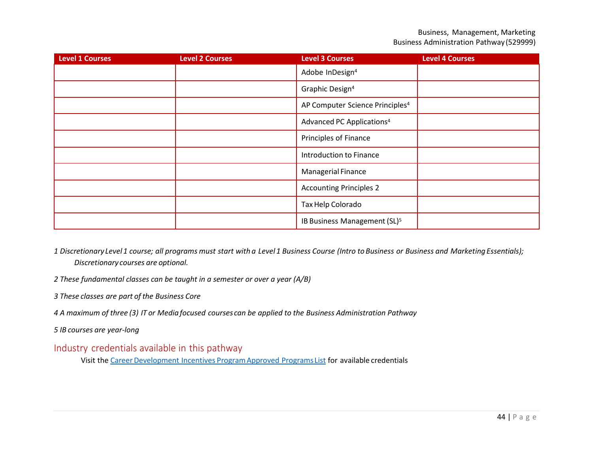| <b>Level 1 Courses</b> | <b>Level 2 Courses</b> | <b>Level 3 Courses</b>                      | <b>Level 4 Courses</b> |
|------------------------|------------------------|---------------------------------------------|------------------------|
|                        |                        | Adobe InDesign <sup>4</sup>                 |                        |
|                        |                        | Graphic Design <sup>4</sup>                 |                        |
|                        |                        | AP Computer Science Principles <sup>4</sup> |                        |
|                        |                        | Advanced PC Applications <sup>4</sup>       |                        |
|                        |                        | <b>Principles of Finance</b>                |                        |
|                        |                        | Introduction to Finance                     |                        |
|                        |                        | <b>Managerial Finance</b>                   |                        |
|                        |                        | <b>Accounting Principles 2</b>              |                        |
|                        |                        | Tax Help Colorado                           |                        |
|                        |                        | IB Business Management (SL) <sup>5</sup>    |                        |

- 1 Discretionary Level 1 course; all programs must start with a Level 1 Business Course (Intro to Business or Business and Marketing Essentials); *Discretionary courses are optional.*
- *2 These fundamental classes can be taught in a semester or over a year (A/B)*
- *3 These classes are part of the Business Core*
- 4 A maximum of three (3) IT or Media focused courses can be applied to the Business Administration Pathway
- *5 IB courses are year-long*

## Industry credentials available in this pathway

Visit the Career Development Incentives Program Approved Programs List for available credentials